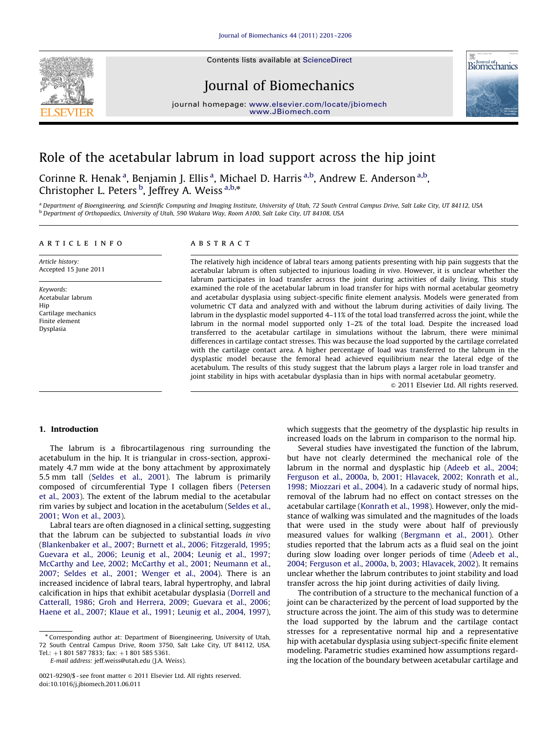Contents lists available at ScienceDirect



Journal of Biomechanics





# Role of the acetabular labrum in load support across the hip joint

Corinne R. Henak<sup>a</sup>, Benjamin J. Ellis<sup>a</sup>, Michael D. Harris<sup>a,b</sup>, Andrew E. Anderson<sup>a,b</sup>, Christopher L. Peters<sup>b</sup>, Jeffrey A. Weiss<sup>a,b,\*</sup>

a Department of Bioengineering, and Scientific Computing and Imaging Institute, University of Utah, 72 South Central Campus Drive, Salt Lake City, UT 84112, USA <sup>b</sup> Department of Orthopaedics, University of Utah, 590 Wakara Way, Room A100, Salt Lake City, UT 84108, USA

## article info

Article history: Accepted 15 June 2011

Keywords: Acetabular labrum Hip Cartilage mechanics Finite element Dysplasia

# ABSTRACT

The relatively high incidence of labral tears among patients presenting with hip pain suggests that the acetabular labrum is often subjected to injurious loading in vivo. However, it is unclear whether the labrum participates in load transfer across the joint during activities of daily living. This study examined the role of the acetabular labrum in load transfer for hips with normal acetabular geometry and acetabular dysplasia using subject-specific finite element analysis. Models were generated from volumetric CT data and analyzed with and without the labrum during activities of daily living. The labrum in the dysplastic model supported 4–11% of the total load transferred across the joint, while the labrum in the normal model supported only 1–2% of the total load. Despite the increased load transferred to the acetabular cartilage in simulations without the labrum, there were minimal differences in cartilage contact stresses. This was because the load supported by the cartilage correlated with the cartilage contact area. A higher percentage of load was transferred to the labrum in the dysplastic model because the femoral head achieved equilibrium near the lateral edge of the acetabulum. The results of this study suggest that the labrum plays a larger role in load transfer and joint stability in hips with acetabular dysplasia than in hips with normal acetabular geometry.

 $\odot$  2011 Elsevier Ltd. All rights reserved.

## 1. Introduction

The labrum is a fibrocartilagenous ring surrounding the acetabulum in the hip. It is triangular in cross-section, approximately 4.7 mm wide at the bony attachment by approximately 5.5 mm tall ([Seldes et al., 2001\)](#page-5-0). The labrum is primarily composed of circumferential Type I collagen fibers ([Petersen](#page-5-0) [et al., 2003](#page-5-0)). The extent of the labrum medial to the acetabular rim varies by subject and location in the acetabulum [\(Seldes et al.,](#page-5-0) [2001;](#page-5-0) [Won et al., 2003](#page-5-0)).

Labral tears are often diagnosed in a clinical setting, suggesting that the labrum can be subjected to substantial loads in vivo ([Blankenbaker et al., 2007](#page-5-0); [Burnett et al., 2006](#page-5-0); [Fitzgerald, 1995;](#page-5-0) [Guevara et al., 2006](#page-5-0); [Leunig et al., 2004](#page-5-0); [Leunig et al., 1997;](#page-5-0) [McCarthy and Lee, 2002;](#page-5-0) [McCarthy et al., 2001](#page-5-0); [Neumann et al.,](#page-5-0) [2007;](#page-5-0) [Seldes et al., 2001;](#page-5-0) [Wenger et al., 2004](#page-5-0)). There is an increased incidence of labral tears, labral hypertrophy, and labral calcification in hips that exhibit acetabular dysplasia [\(Dorrell and](#page-5-0) [Catterall, 1986](#page-5-0); [Groh and Herrera, 2009;](#page-5-0) [Guevara et al., 2006;](#page-5-0) [Haene et al., 2007;](#page-5-0) [Klaue et al., 1991;](#page-5-0) [Leunig et al., 2004](#page-5-0), [1997\)](#page-5-0), which suggests that the geometry of the dysplastic hip results in increased loads on the labrum in comparison to the normal hip.

Several studies have investigated the function of the labrum, but have not clearly determined the mechanical role of the labrum in the normal and dysplastic hip [\(Adeeb et al., 2004;](#page-4-0) [Ferguson et al., 2000a,](#page-5-0) [b, 2001;](#page-5-0) [Hlavacek, 2002;](#page-5-0) [Konrath et al.,](#page-5-0) [1998;](#page-5-0) [Miozzari et al., 2004\)](#page-5-0). In a cadaveric study of normal hips, removal of the labrum had no effect on contact stresses on the acetabular cartilage [\(Konrath et al., 1998\)](#page-5-0). However, only the midstance of walking was simulated and the magnitudes of the loads that were used in the study were about half of previously measured values for walking ([Bergmann et al., 2001\)](#page-5-0). Other studies reported that the labrum acts as a fluid seal on the joint during slow loading over longer periods of time ([Adeeb et al.,](#page-4-0) [2004;](#page-4-0) [Ferguson et al., 2000a,](#page-5-0) [b, 2003](#page-5-0); [Hlavacek, 2002](#page-5-0)). It remains unclear whether the labrum contributes to joint stability and load transfer across the hip joint during activities of daily living.

The contribution of a structure to the mechanical function of a joint can be characterized by the percent of load supported by the structure across the joint. The aim of this study was to determine the load supported by the labrum and the cartilage contact stresses for a representative normal hip and a representative hip with acetabular dysplasia using subject-specific finite element modeling. Parametric studies examined how assumptions regarding the location of the boundary between acetabular cartilage and

<sup>n</sup> Corresponding author at: Department of Bioengineering, University of Utah, 72 South Central Campus Drive, Room 3750, Salt Lake City, UT 84112, USA. Tel.:  $+1$  801 587 7833; fax:  $+1$  801 585 5361.

E-mail address: [jeff.weiss@utah.edu \(J.A. Weiss\)](mailto:jeff.weiss@utah.edu).

<sup>0021-9290/\$ -</sup> see front matter  $\odot$  2011 Elsevier Ltd. All rights reserved. doi:[10.1016/j.jbiomech.2011.06.011](dx.doi.org/10.1016/j.jbiomech.2011.06.011)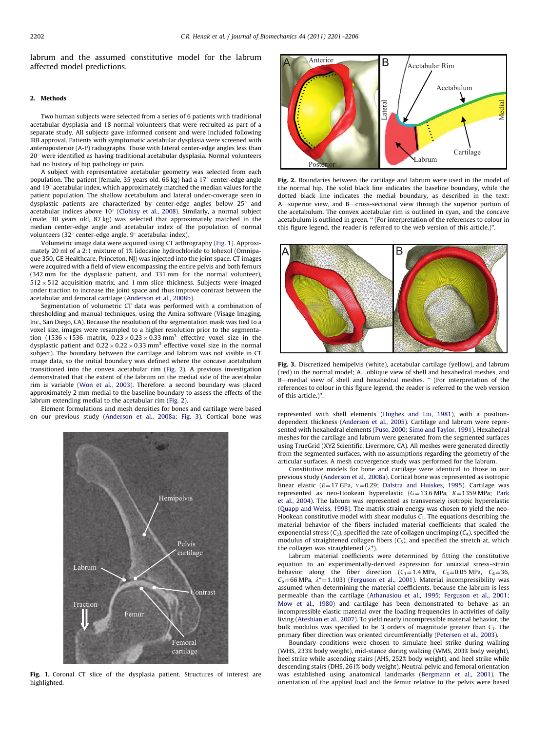labrum and the assumed constitutive model for the labrum affected model predictions.

#### 2. Methods

Two human subjects were selected from a series of 6 patients with traditional acetabular dysplasia and 18 normal volunteers that were recruited as part of a separate study. All subjects gave informed consent and were included following IRB approval. Patients with symptomatic acetabular dysplasia were screened with anteroposterior (A-P) radiographs. Those with lateral center-edge angles less than  $20^{\circ}$  were identified as having traditional acetabular dysplasia. Normal volunteers had no history of hip pathology or pain.

A subject with representative acetabular geometry was selected from each population. The patient (female, 35 years old, 66 kg) had a  $17^{\circ}$  center-edge angle and  $19^{\circ}$  acetabular index, which approximately matched the median values for the patient population. The shallow acetabulum and lateral under-coverage seen in dysplastic patients are characterized by center-edge angles below  $25^{\circ}$  and acetabular indices above  $10^{\circ}$  [\(Clohisy et al., 2008\)](#page-5-0). Similarly, a normal subject (male, 30 years old, 87 kg) was selected that approximately matched in the median center-edge angle and acetabular index of the population of normal volunteers (32 $^{\circ}$  center-edge angle, 9 $^{\circ}$  acetabular index).

Volumetric image data were acquired using CT arthrography (Fig. 1). Approximately 20 ml of a 2:1 mixture of 1% lidocaine hydrochloride to Iohexol (Omnipaque 350, GE Healthcare, Princeton, NJ) was injected into the joint space. CT images were acquired with a field of view encompassing the entire pelvis and both femurs (342 mm for the dysplastic patient, and 331 mm for the normal volunteer),  $512 \times 512$  acquisition matrix, and 1 mm slice thickness. Subjects were imaged under traction to increase the joint space and thus improve contrast between the acetabular and femoral cartilage ([Anderson et al., 2008b](#page-4-0)).

Segmentation of volumetric CT data was performed with a combination of thresholding and manual techniques, using the Amira software (Visage Imaging, Inc., San Diego, CA). Because the resolution of the segmentation mask was tied to a voxel size, images were resampled to a higher resolution prior to the segmentation  $(1536 \times 1536$  matrix,  $0.23 \times 0.23 \times 0.33$  mm<sup>3</sup> effective voxel size in the dysplastic patient and  $0.22 \times 0.22 \times 0.33$  mm<sup>3</sup> effective voxel size in the normal subject). The boundary between the cartilage and labrum was not visible in CT image data, so the initial boundary was defined where the concave acetabulum transitioned into the convex acetabular rim (Fig. 2). A previous investigation demonstrated that the extent of the labrum on the medial side of the acetabular rim is variable [\(Won et al., 2003](#page-5-0)). Therefore, a second boundary was placed approximately 2 mm medial to the baseline boundary to assess the effects of the labrum extending medial to the acetabular rim (Fig. 2).

Element formulations and mesh densities for bones and cartilage were based on our previous study [\(Anderson et al., 2008a](#page-4-0); Fig. 3). Cortical bone was represented with shell elements ([Hughes and Liu, 1981\)](#page-5-0), with a position-



Fig. 1. Coronal CT slice of the dysplasia patient. Structures of interest are highlighted.



Fig. 2. Boundaries between the cartilage and labrum were used in the model of the normal hip. The solid black line indicates the baseline boundary, while the dotted black line indicates the medial boundary, as described in the text: A—superior view, and B—cross-sectional view through the superior portion of the acetabulum. The convex acetabular rim is outlined in cyan, and the concave acetabulum is outlined in green. '' (For interpretation of the references to colour in this figure legend, the reader is referred to the web version of this article.)''.



Fig. 3. Discretized hemipelvis (white), acetabular cartilage (yellow), and labrum (red) in the normal model; A—oblique view of shell and hexahedral meshes, and B-medial view of shell and hexahedral meshes. " (For interpretation of the references to colour in this figure legend, the reader is referred to the web version of this article.)''.

dependent thickness [\(Anderson et al., 2005](#page-4-0)). Cartilage and labrum were represented with hexahedral elements [\(Puso, 2000](#page-5-0); [Simo and Taylor, 1991](#page-5-0)). Hexahedral meshes for the cartilage and labrum were generated from the segmented surfaces using TrueGrid (XYZ Scientific, Livermore, CA). All meshes were generated directly from the segmented surfaces, with no assumptions regarding the geometry of the articular surfaces. A mesh convergence study was performed for the labrum.

Constitutive models for bone and cartilage were identical to those in our previous study ([Anderson et al., 2008a](#page-4-0)). Cortical bone was represented as isotropic linear elastic ( $E=17$  GPa,  $v=0.29$ ; [Dalstra and Huiskes, 1995\)](#page-5-0). Cartilage was represented as neo-Hookean hyperelastic  $(G=13.6 \text{ MPa}, K=1359 \text{ MPa}; \text{ Park}$  $(G=13.6 \text{ MPa}, K=1359 \text{ MPa}; \text{ Park}$  $(G=13.6 \text{ MPa}, K=1359 \text{ MPa}; \text{ Park}$ [et al., 2004](#page-5-0)). The labrum was represented as transversely isotropic hyperelastic [\(Quapp and Weiss, 1998\)](#page-5-0). The matrix strain energy was chosen to yield the neo-Hookean constitutive model with shear modulus  $C_1$ . The equations describing the material behavior of the fibers included material coefficients that scaled the exponential stress  $(C_3)$ , specified the rate of collagen uncrimping  $(C_4)$ , specified the modulus of straightened collagen fibers  $(C_5)$ , and specified the stretch at, which the collagen was straightened  $(\lambda^*)$ .

Labrum material coefficients were determined by fitting the constitutive equation to an experimentally-derived expression for uniaxial stress–strain behavior along the fiber direction  $(C_1 = 1.4 \text{ MPa}, C_3 = 0.05 \text{ MPa}, C_4 = 36,$  $C_5$ =66 MPa,  $\lambda^*$ =1.103) [\(Ferguson et al., 2001\)](#page-5-0). Material incompressibility was assumed when determining the material coefficients, because the labrum is less permeable than the cartilage [\(Athanasiou et al., 1995](#page-4-0); [Ferguson et al., 2001](#page-5-0); [Mow et al., 1980](#page-5-0)) and cartilage has been demonstrated to behave as an incompressible elastic material over the loading frequencies in activities of daily living [\(Ateshian et al., 2007\)](#page-4-0). To yield nearly incompressible material behavior, the bulk modulus was specified to be 3 orders of magnitude greater than  $C_1$ . The primary fiber direction was oriented circumferentially [\(Petersen et al., 2003\)](#page-5-0).

Boundary conditions were chosen to simulate heel strike during walking (WHS, 233% body weight), mid-stance during walking (WMS, 203% body weight), heel strike while ascending stairs (AHS, 252% body weight), and heel strike while descending stairs (DHS, 261% body weight). Neutral pelvic and femoral orientation was established using anatomical landmarks [\(Bergmann et al., 2001\)](#page-5-0). The orientation of the applied load and the femur relative to the pelvis were based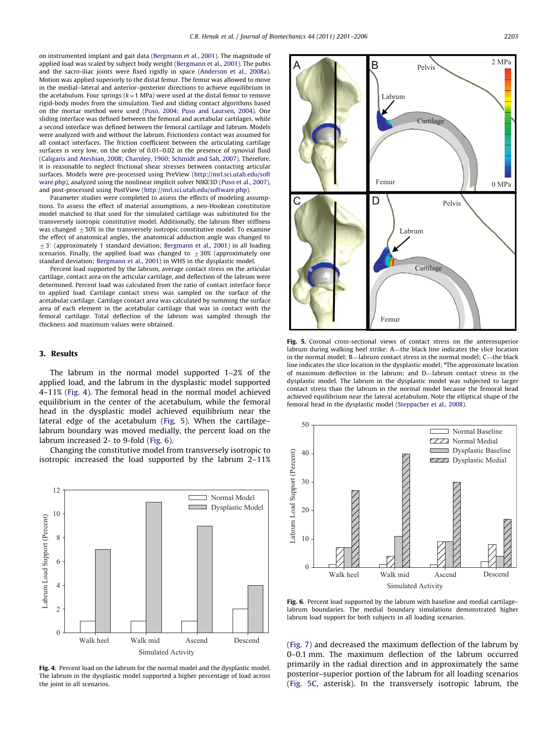on instrumented implant and gait data [\(Bergmann et al., 2001\)](#page-5-0). The magnitude of applied load was scaled by subject body weight ([Bergmann et al., 2001](#page-5-0)). The pubis and the sacro-iliac joints were fixed rigidly in space [\(Anderson et al., 2008a\)](#page-4-0). Motion was applied superiorly to the distal femur. The femur was allowed to move in the medial–lateral and anterior–posterior directions to achieve equilibrium in the acetabulum. Four springs ( $k=1$  MPa) were used at the distal femur to remove rigid-body modes from the simulation. Tied and sliding contact algorithms based on the mortar method were used [\(Puso, 2004;](#page-5-0) [Puso and Laursen, 2004\)](#page-5-0). One sliding interface was defined between the femoral and acetabular cartilages, while a second interface was defined between the femoral cartilage and labrum. Models were analyzed with and without the labrum. Frictionless contact was assumed for all contact interfaces. The friction coefficient between the articulating cartilage surfaces is very low, on the order of 0.01–0.02 in the presence of synovial fluid [\(Caligaris and Ateshian, 2008;](#page-5-0) [Charnley, 1960](#page-5-0); [Schmidt and Sah, 2007\)](#page-5-0). Therefore, it is reasonable to neglect frictional shear stresses between contacting articular surfaces. Models were pre-processed using PreView ([http://mrl.sci.utah.edu/soft](http://mrl.sci.utah.edu/software.php) [ware.php](http://mrl.sci.utah.edu/software.php)), analyzed using the nonlinear implicit solver NIKE3D [\(Puso et al., 2007\)](#page-5-0), and post-processed using PostView [\(http://mrl.sci.utah.edu/software.php\)](http://mrl.sci.utah.edu/software.php).

Parameter studies were completed to assess the effects of modeling assumptions. To assess the effect of material assumptions, a neo-Hookean constitutive model matched to that used for the simulated cartilage was substituted for the transversely isotropic constitutive model. Additionally, the labrum fiber stiffness was changed  $+50\%$  in the transversely isotropic constitutive model. To examine the effect of anatomical angles, the anatomical adduction angle was changed to  $\pm$  3° (approximately 1 standard deviation; [Bergmann et al., 2001](#page-5-0)) in all loading scenarios. Finally, the applied load was changed to  $\pm 30\%$  (approximately one standard deviation; [Bergmann et al., 2001\)](#page-5-0) in WHS in the dysplastic model.

Percent load supported by the labrum, average contact stress on the articular cartilage, contact area on the articular cartilage, and deflection of the labrum were determined. Percent load was calculated from the ratio of contact interface force to applied load. Cartilage contact stress was sampled on the surface of the acetabular cartilage. Cartilage contact area was calculated by summing the surface area of each element in the acetabular cartilage that was in contact with the femoral cartilage. Total deflection of the labrum was sampled through the thickness and maximum values were obtained.

### 3. Results

The labrum in the normal model supported 1–2% of the applied load, and the labrum in the dysplastic model supported 4–11% (Fig. 4). The femoral head in the normal model achieved equilibrium in the center of the acetabulum, while the femoral head in the dysplastic model achieved equilibrium near the lateral edge of the acetabulum (Fig. 5). When the cartilage– labrum boundary was moved medially, the percent load on the labrum increased 2- to 9-fold (Fig. 6).

Changing the constitutive model from transversely isotropic to isotropic increased the load supported by the labrum 2–11%



Fig. 4. Percent load on the labrum for the normal model and the dysplastic model. The labrum in the dysplastic model supported a higher percentage of load across the joint in all scenarios.



Fig. 5. Coronal cross-sectional views of contact stress on the anterosuperior labrum during walking heel strike: A—the black line indicates the slice location in the normal model; B—labrum contact stress in the normal model; C—the black line indicates the slice location in the dysplastic model; \*The approximate location of maximum deflection in the labrum; and D—labrum contact stress in the dysplastic model. The labrum in the dysplastic model was subjected to larger contact stress than the labrum in the normal model because the femoral head achieved equilibrium near the lateral acetabulum. Note the elliptical shape of the femoral head in the dysplastic model ([Steppacher et al., 2008](#page-5-0)).



Fig. 6. Percent load supported by the labrum with baseline and medial cartilagelabrum boundaries. The medial boundary simulations demonstrated higher labrum load support for both subjects in all loading scenarios.

([Fig. 7](#page-3-0)) and decreased the maximum deflection of the labrum by 0–0.1 mm. The maximum deflection of the labrum occurred primarily in the radial direction and in approximately the same posterior–superior portion of the labrum for all loading scenarios (Fig. 5C, asterisk). In the transversely isotropic labrum, the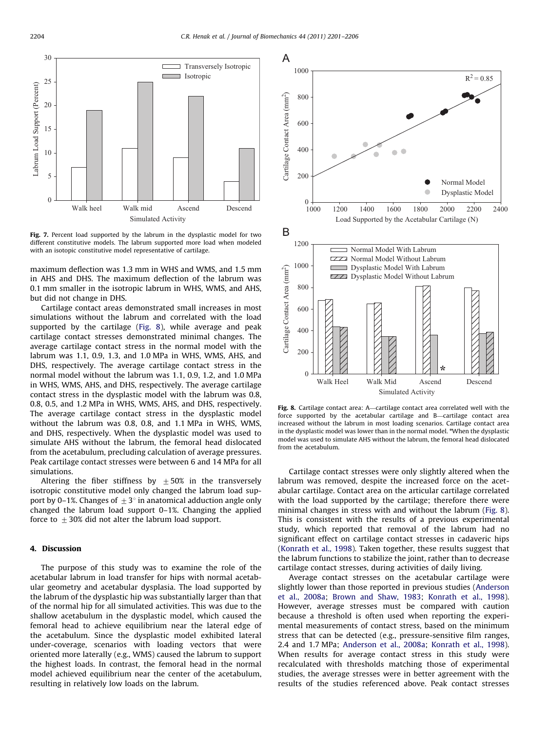<span id="page-3-0"></span>

Fig. 7. Percent load supported by the labrum in the dysplastic model for two different constitutive models. The labrum supported more load when modeled with an isotopic constitutive model representative of cartilage.

maximum deflection was 1.3 mm in WHS and WMS, and 1.5 mm in AHS and DHS. The maximum deflection of the labrum was 0.1 mm smaller in the isotropic labrum in WHS, WMS, and AHS, but did not change in DHS.

Cartilage contact areas demonstrated small increases in most simulations without the labrum and correlated with the load supported by the cartilage (Fig. 8), while average and peak cartilage contact stresses demonstrated minimal changes. The average cartilage contact stress in the normal model with the labrum was 1.1, 0.9, 1.3, and 1.0 MPa in WHS, WMS, AHS, and DHS, respectively. The average cartilage contact stress in the normal model without the labrum was 1.1, 0.9, 1.2, and 1.0 MPa in WHS, WMS, AHS, and DHS, respectively. The average cartilage contact stress in the dysplastic model with the labrum was 0.8, 0.8, 0.5, and 1.2 MPa in WHS, WMS, AHS, and DHS, respectively. The average cartilage contact stress in the dysplastic model without the labrum was 0.8, 0.8, and 1.1 MPa in WHS, WMS, and DHS, respectively. When the dysplastic model was used to simulate AHS without the labrum, the femoral head dislocated from the acetabulum, precluding calculation of average pressures. Peak cartilage contact stresses were between 6 and 14 MPa for all simulations.

Altering the fiber stiffness by  $\pm 50\%$  in the transversely isotropic constitutive model only changed the labrum load support by 0–1%. Changes of  $\pm 3^\circ$  in anatomical adduction angle only changed the labrum load support 0–1%. Changing the applied force to  $\pm 30\%$  did not alter the labrum load support.

# 4. Discussion

The purpose of this study was to examine the role of the acetabular labrum in load transfer for hips with normal acetabular geometry and acetabular dysplasia. The load supported by the labrum of the dysplastic hip was substantially larger than that of the normal hip for all simulated activities. This was due to the shallow acetabulum in the dysplastic model, which caused the femoral head to achieve equilibrium near the lateral edge of the acetabulum. Since the dysplastic model exhibited lateral under-coverage, scenarios with loading vectors that were oriented more laterally (e.g., WMS) caused the labrum to support the highest loads. In contrast, the femoral head in the normal model achieved equilibrium near the center of the acetabulum, resulting in relatively low loads on the labrum.



Fig. 8. Cartilage contact area: A—cartilage contact area correlated well with the force supported by the acetabular cartilage and B—cartilage contact area increased without the labrum in most loading scenarios. Cartilage contact area in the dysplastic model was lower than in the normal model. \*When the dysplastic model was used to simulate AHS without the labrum, the femoral head dislocated from the acetabulum.

Cartilage contact stresses were only slightly altered when the labrum was removed, despite the increased force on the acetabular cartilage. Contact area on the articular cartilage correlated with the load supported by the cartilage; therefore there were minimal changes in stress with and without the labrum (Fig. 8). This is consistent with the results of a previous experimental study, which reported that removal of the labrum had no significant effect on cartilage contact stresses in cadaveric hips ([Konrath et al., 1998](#page-5-0)). Taken together, these results suggest that the labrum functions to stabilize the joint, rather than to decrease cartilage contact stresses, during activities of daily living.

Average contact stresses on the acetabular cartilage were slightly lower than those reported in previous studies [\(Anderson](#page-4-0) [et al., 2008a](#page-4-0); [Brown and Shaw, 1983;](#page-5-0) [Konrath et al., 1998\)](#page-5-0). However, average stresses must be compared with caution because a threshold is often used when reporting the experimental measurements of contact stress, based on the minimum stress that can be detected (e.g., pressure-sensitive film ranges, 2.4 and 1.7 MPa; [Anderson et al., 2008a;](#page-4-0) [Konrath et al., 1998\)](#page-5-0). When results for average contact stress in this study were recalculated with thresholds matching those of experimental studies, the average stresses were in better agreement with the results of the studies referenced above. Peak contact stresses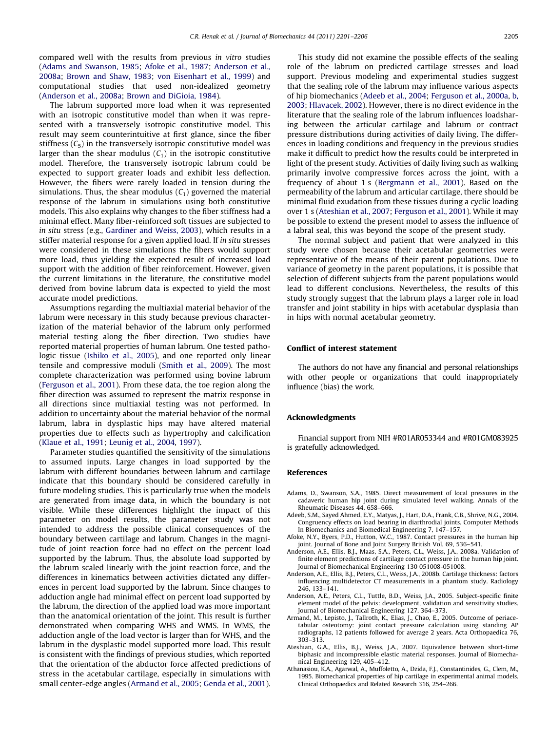<span id="page-4-0"></span>compared well with the results from previous in vitro studies (Adams and Swanson, 1985; Afoke et al., 1987; Anderson et al., 2008a; [Brown and Shaw, 1983](#page-5-0); [von Eisenhart et al., 1999\)](#page-5-0) and computational studies that used non-idealized geometry (Anderson et al., 2008a; [Brown and DiGioia, 1984\)](#page-5-0).

The labrum supported more load when it was represented with an isotropic constitutive model than when it was represented with a transversely isotropic constitutive model. This result may seem counterintuitive at first glance, since the fiber stiffness  $(C_5)$  in the transversely isotropic constitutive model was larger than the shear modulus  $(C_1)$  in the isotropic constitutive model. Therefore, the transversely isotropic labrum could be expected to support greater loads and exhibit less deflection. However, the fibers were rarely loaded in tension during the simulations. Thus, the shear modulus  $(C_1)$  governed the material response of the labrum in simulations using both constitutive models. This also explains why changes to the fiber stiffness had a minimal effect. Many fiber-reinforced soft tissues are subjected to in situ stress (e.g., [Gardiner and Weiss, 2003\)](#page-5-0), which results in a stiffer material response for a given applied load. If in situ stresses were considered in these simulations the fibers would support more load, thus yielding the expected result of increased load support with the addition of fiber reinforcement. However, given the current limitations in the literature, the constitutive model derived from bovine labrum data is expected to yield the most accurate model predictions.

Assumptions regarding the multiaxial material behavior of the labrum were necessary in this study because previous characterization of the material behavior of the labrum only performed material testing along the fiber direction. Two studies have reported material properties of human labrum. One tested pathologic tissue ([Ishiko et al., 2005\)](#page-5-0), and one reported only linear tensile and compressive moduli ([Smith et al., 2009\)](#page-5-0). The most complete characterization was performed using bovine labrum ([Ferguson et al., 2001\)](#page-5-0). From these data, the toe region along the fiber direction was assumed to represent the matrix response in all directions since multiaxial testing was not performed. In addition to uncertainty about the material behavior of the normal labrum, labra in dysplastic hips may have altered material properties due to effects such as hypertrophy and calcification ([Klaue et al., 1991;](#page-5-0) [Leunig et al., 2004,](#page-5-0) [1997\)](#page-5-0).

Parameter studies quantified the sensitivity of the simulations to assumed inputs. Large changes in load supported by the labrum with different boundaries between labrum and cartilage indicate that this boundary should be considered carefully in future modeling studies. This is particularly true when the models are generated from image data, in which the boundary is not visible. While these differences highlight the impact of this parameter on model results, the parameter study was not intended to address the possible clinical consequences of the boundary between cartilage and labrum. Changes in the magnitude of joint reaction force had no effect on the percent load supported by the labrum. Thus, the absolute load supported by the labrum scaled linearly with the joint reaction force, and the differences in kinematics between activities dictated any differences in percent load supported by the labrum. Since changes to adduction angle had minimal effect on percent load supported by the labrum, the direction of the applied load was more important than the anatomical orientation of the joint. This result is further demonstrated when comparing WHS and WMS. In WMS, the adduction angle of the load vector is larger than for WHS, and the labrum in the dysplastic model supported more load. This result is consistent with the findings of previous studies, which reported that the orientation of the abductor force affected predictions of stress in the acetabular cartilage, especially in simulations with small center-edge angles (Armand et al., 2005; [Genda et al., 2001\)](#page-5-0).

This study did not examine the possible effects of the sealing role of the labrum on predicted cartilage stresses and load support. Previous modeling and experimental studies suggest that the sealing role of the labrum may influence various aspects of hip biomechanics (Adeeb et al., 2004; [Ferguson et al., 2000a,](#page-5-0) [b,](#page-5-0) [2003;](#page-5-0) [Hlavacek, 2002](#page-5-0)). However, there is no direct evidence in the literature that the sealing role of the labrum influences loadsharing between the articular cartilage and labrum or contract pressure distributions during activities of daily living. The differences in loading conditions and frequency in the previous studies make it difficult to predict how the results could be interpreted in light of the present study. Activities of daily living such as walking primarily involve compressive forces across the joint, with a frequency of about 1 s [\(Bergmann et al., 2001\)](#page-5-0). Based on the permeability of the labrum and articular cartilage, there should be minimal fluid exudation from these tissues during a cyclic loading over 1 s (Ateshian et al., 2007; [Ferguson et al., 2001](#page-5-0)). While it may be possible to extend the present model to assess the influence of a labral seal, this was beyond the scope of the present study.

The normal subject and patient that were analyzed in this study were chosen because their acetabular geometries were representative of the means of their parent populations. Due to variance of geometry in the parent populations, it is possible that selection of different subjects from the parent populations would lead to different conclusions. Nevertheless, the results of this study strongly suggest that the labrum plays a larger role in load transfer and joint stability in hips with acetabular dysplasia than in hips with normal acetabular geometry.

#### Conflict of interest statement

The authors do not have any financial and personal relationships with other people or organizations that could inappropriately influence (bias) the work.

#### Acknowledgments

Financial support from NIH #R01AR053344 and #R01GM083925 is gratefully acknowledged.

#### References

- Adams, D., Swanson, S.A., 1985. Direct measurement of local pressures in the cadaveric human hip joint during simulated level walking. Annals of the Rheumatic Diseases 44, 658–666.
- Adeeb, S.M., Sayed Ahmed, E.Y., Matyas, J., Hart, D.A., Frank, C.B., Shrive, N.G., 2004. Congruency effects on load bearing in diarthrodial joints. Computer Methods In Biomechanics and Biomedical Engineering 7, 147–157.
- Afoke, N.Y., Byers, P.D., Hutton, W.C., 1987. Contact pressures in the human hip joint. Journal of Bone and Joint Surgery British Vol. 69, 536–541.
- Anderson, A.E., Ellis, B.J., Maas, S.A., Peters, C.L., Weiss, J.A., 2008a. Validation of finite element predictions of cartilage contact pressure in the human hip joint. Journal of Biomechanical Engineering 130 051008-051008.
- Anderson, A.E., Ellis, B.J., Peters, C.L., Weiss, J.A., 2008b. Cartilage thickness: factors influencing multidetector CT measurements in a phantom study. Radiology 246, 133–141.
- Anderson, A.E., Peters, C.L., Tuttle, B.D., Weiss, J.A., 2005. Subject-specific finite element model of the pelvis: development, validation and sensitivity studies. Journal of Biomechanical Engineering 127, 364–373.
- Armand, M., Lepisto, J., Tallroth, K., Elias, J., Chao, E., 2005. Outcome of periacetabular osteotomy: joint contact pressure calculation using standing AP radiographs, 12 patients followed for average 2 years. Acta Orthopaedica 76, 303–313.
- Ateshian, G.A., Ellis, B.J., Weiss, J.A., 2007. Equivalence between short-time biphasic and incompressible elastic material responses. Journal of Biomechanical Engineering 129, 405–412.
- Athanasiou, K.A., Agarwal, A., Muffoletto, A., Dzida, F.J., Constantinides, G., Clem, M., 1995. Biomechanical properties of hip cartilage in experimental animal models. Clinical Orthopaedics and Related Research 316, 254–266.